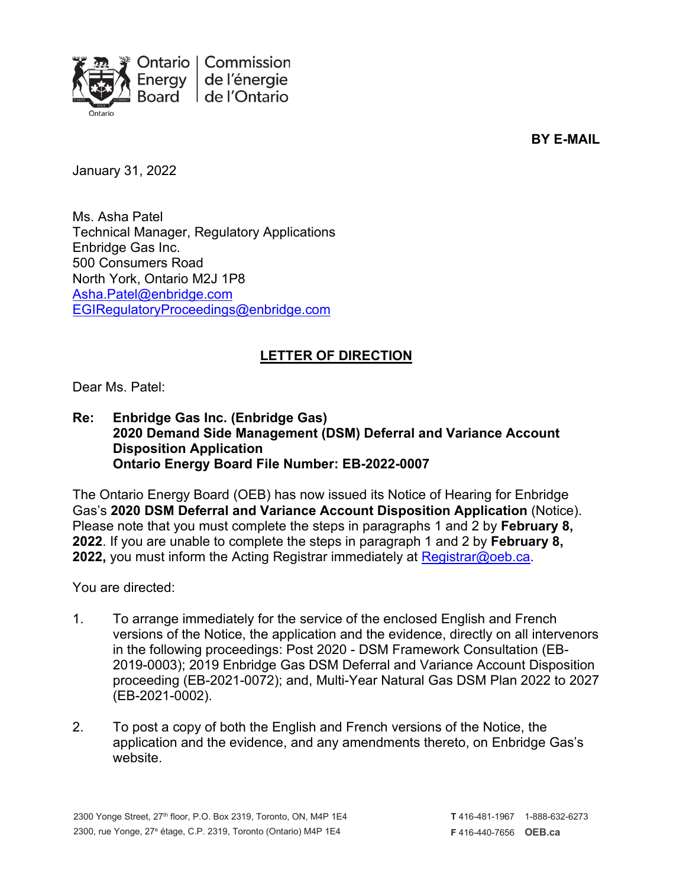

**BY E-MAIL**

January 31, 2022

Ms. Asha Patel Technical Manager, Regulatory Applications Enbridge Gas Inc. 500 Consumers Road North York, Ontario M2J 1P8 [Asha.Patel@enbridge.com](mailto:Asha.Patel@enbridge.com) [EGIRegulatoryProceedings@enbridge.com](mailto:EGIRegulatoryProceedings@enbridge.com)

## **LETTER OF DIRECTION**

Dear Ms. Patel:

**Re: Enbridge Gas Inc. (Enbridge Gas) 2020 Demand Side Management (DSM) Deferral and Variance Account Disposition Application Ontario Energy Board File Number: EB-2022-0007**

The Ontario Energy Board (OEB) has now issued its Notice of Hearing for Enbridge Gas's **2020 DSM Deferral and Variance Account Disposition Application** (Notice). Please note that you must complete the steps in paragraphs 1 and 2 by **February 8, 2022**. If you are unable to complete the steps in paragraph 1 and 2 by **February 8, 2022,** you must inform the Acting Registrar immediately at [Registrar@oeb.ca.](mailto:Registrar@oeb.ca)

You are directed:

- 1. To arrange immediately for the service of the enclosed English and French versions of the Notice, the application and the evidence, directly on all intervenors in the following proceedings: Post 2020 - DSM Framework Consultation (EB-2019-0003); 2019 Enbridge Gas DSM Deferral and Variance Account Disposition proceeding (EB-2021-0072); and, Multi-Year Natural Gas DSM Plan 2022 to 2027 (EB-2021-0002).
- 2. To post a copy of both the English and French versions of the Notice, the application and the evidence, and any amendments thereto, on Enbridge Gas's website.